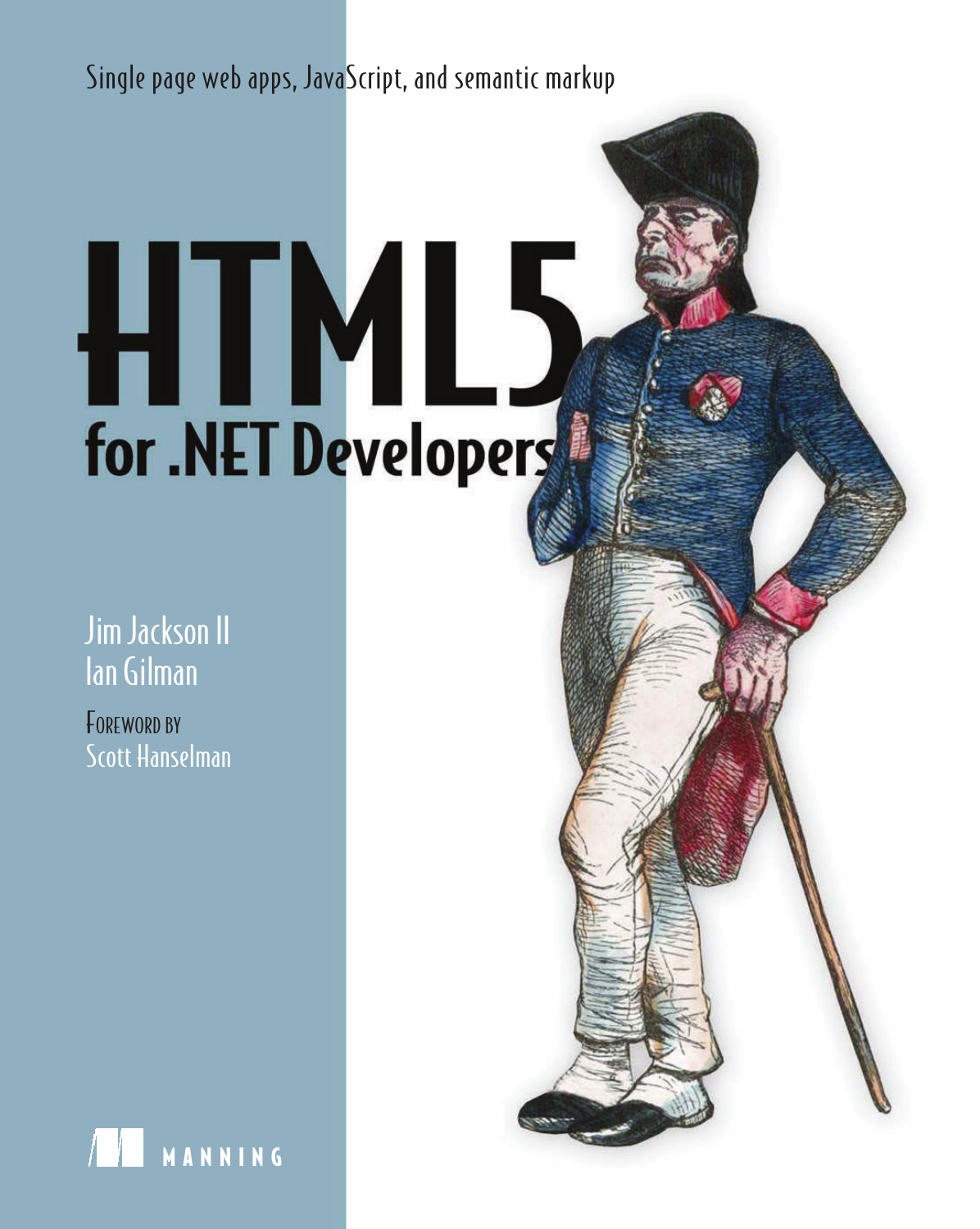Single page web apps, JavaScript, and semantic markup

# HIMLS for .NET Developers

Jim Jackson II Ian Gilman

FOREWORD BY Scott Hanselman

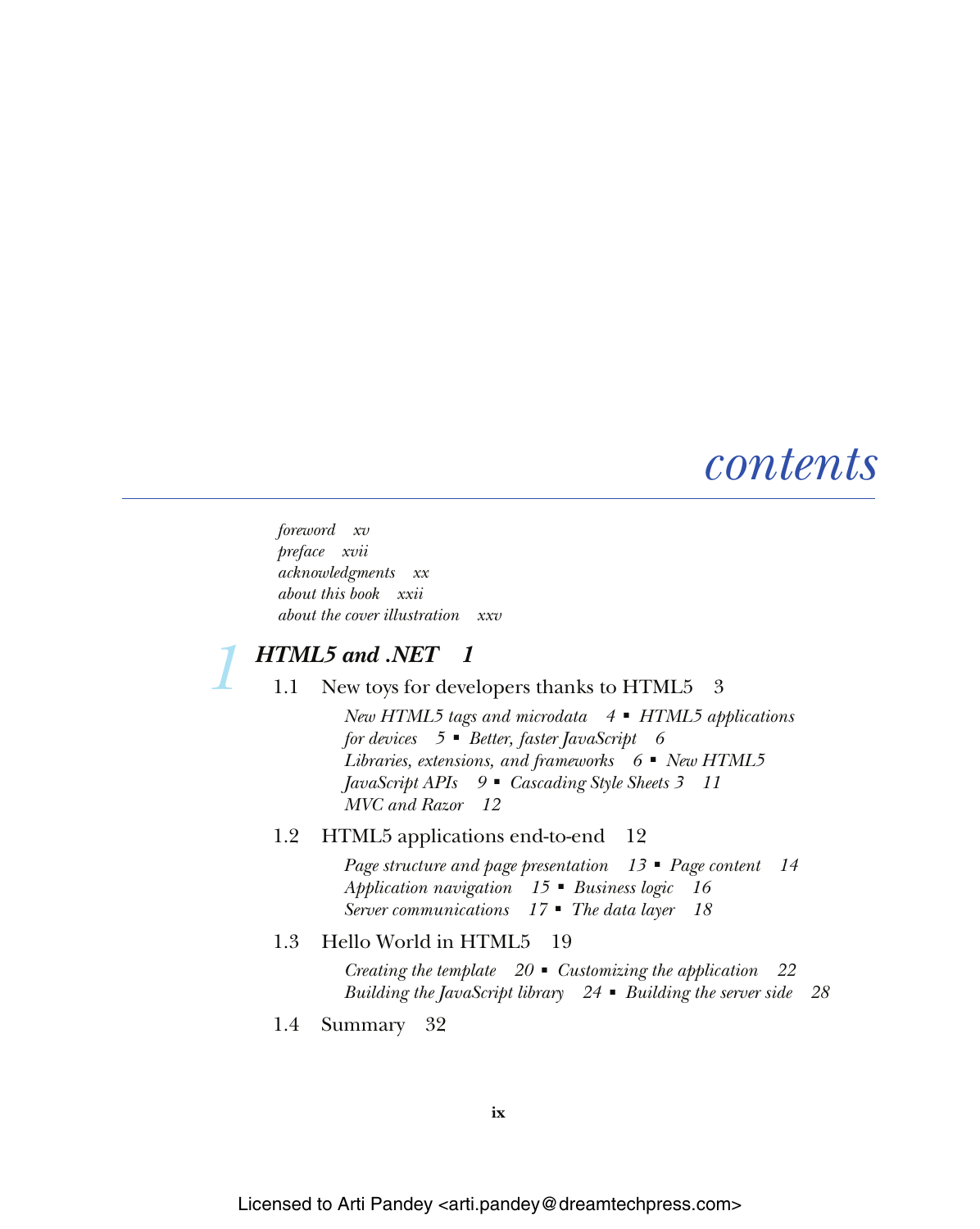## *contents*

*foreword xv preface xvii acknowledgments xx about this book xxii about the cover illustration xxv*

## *HTML5 and .NET 1<br>1.1 New toys for deve*

New toys for developers thanks to HTML5 3

*New HTML5 tags and microdata 4* ■ *HTML5 applications for devices 5* ■ *Better, faster JavaScript 6 Libraries, extensions, and frameworks 6* ■ *New HTML5 JavaScript APIs 9* ■ *Cascading Style Sheets 3 11 MVC and Razor 12*

#### 1.2 HTML5 applications end-to-end 12

*Page structure and page presentation 13* ■ *Page content 14 Application navigation 15* ■ *Business logic 16 Server communications 17* ■ *The data layer 18*

#### 1.3 Hello World in HTML5 19

*Creating the template 20* ■ *Customizing the application 22 Building the JavaScript library 24* ■ *Building the server side 28*

1.4 Summary 32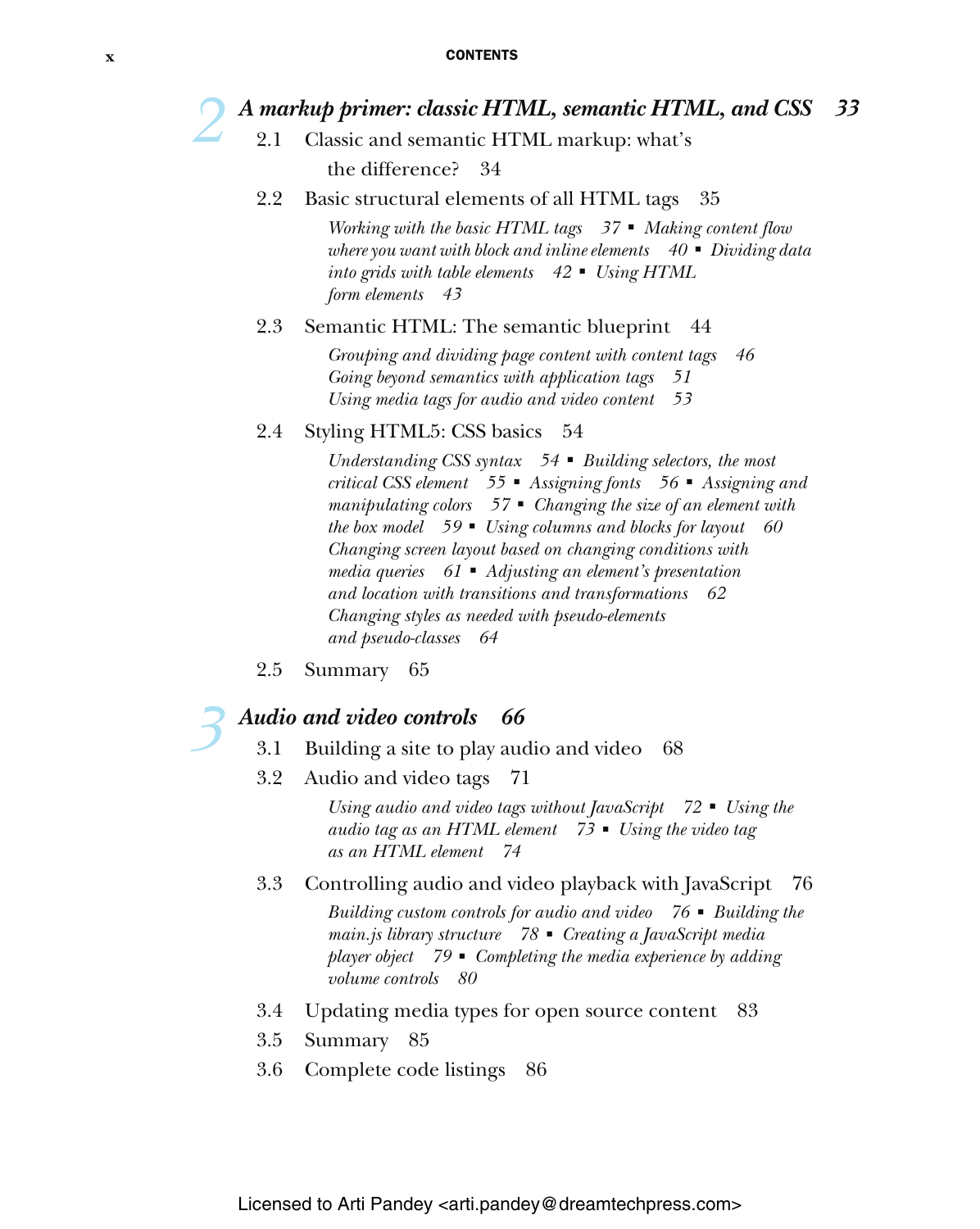- *A markup primer: classic HTML, semantic HTML, and CSS* 33<br>2.1 Classic and semantic HTML markup: what's<br>the difference? 34 Classic and semantic HTML markup: what's the difference?
	- 2.2 Basic structural elements of all HTML tags 35

*Working with the basic HTML tags 37* ■ *Making content flow where you want with block and inline elements 40* ■ *Dividing data into grids with table elements 42* ■ *Using HTML form elements 43*

#### 2.3 Semantic HTML: The semantic blueprint 44

*Grouping and dividing page content with content tags 46 Going beyond semantics with application tags 51 Using media tags for audio and video content 53*

2.4 Styling HTML5: CSS basics 54

*Understanding CSS syntax 54* ■ *Building selectors, the most critical CSS element 55* ■ *Assigning fonts 56* ■ *Assigning and manipulating colors 57* ■ *Changing the size of an element with the box model 59* ■ *Using columns and blocks for layout 60 Changing screen layout based on changing conditions with media queries 61* ■ *Adjusting an element's presentation and location with transitions and transformations 62 Changing styles as needed with pseudo-elements and pseudo-classes 64*

2.5 Summary 65

# *Audio and video controls 66*<br>3.1 Building a site to play aud<br>3.2 Audio and video tags 71

- Building a site to play audio and video 68
- Audio and video tags 71

*Using audio and video tags without JavaScript 72* ■ *Using the audio tag as an HTML element 73* ■ *Using the video tag as an HTML element 74*

3.3 Controlling audio and video playback with JavaScript 76

*Building custom controls for audio and video 76* ■ *Building the main.js library structure 78* ■ *Creating a JavaScript media player object 79* ■ *Completing the media experience by adding volume controls 80*

- 3.4 Updating media types for open source content 83
- 3.5 Summary 85
- 3.6 Complete code listings 86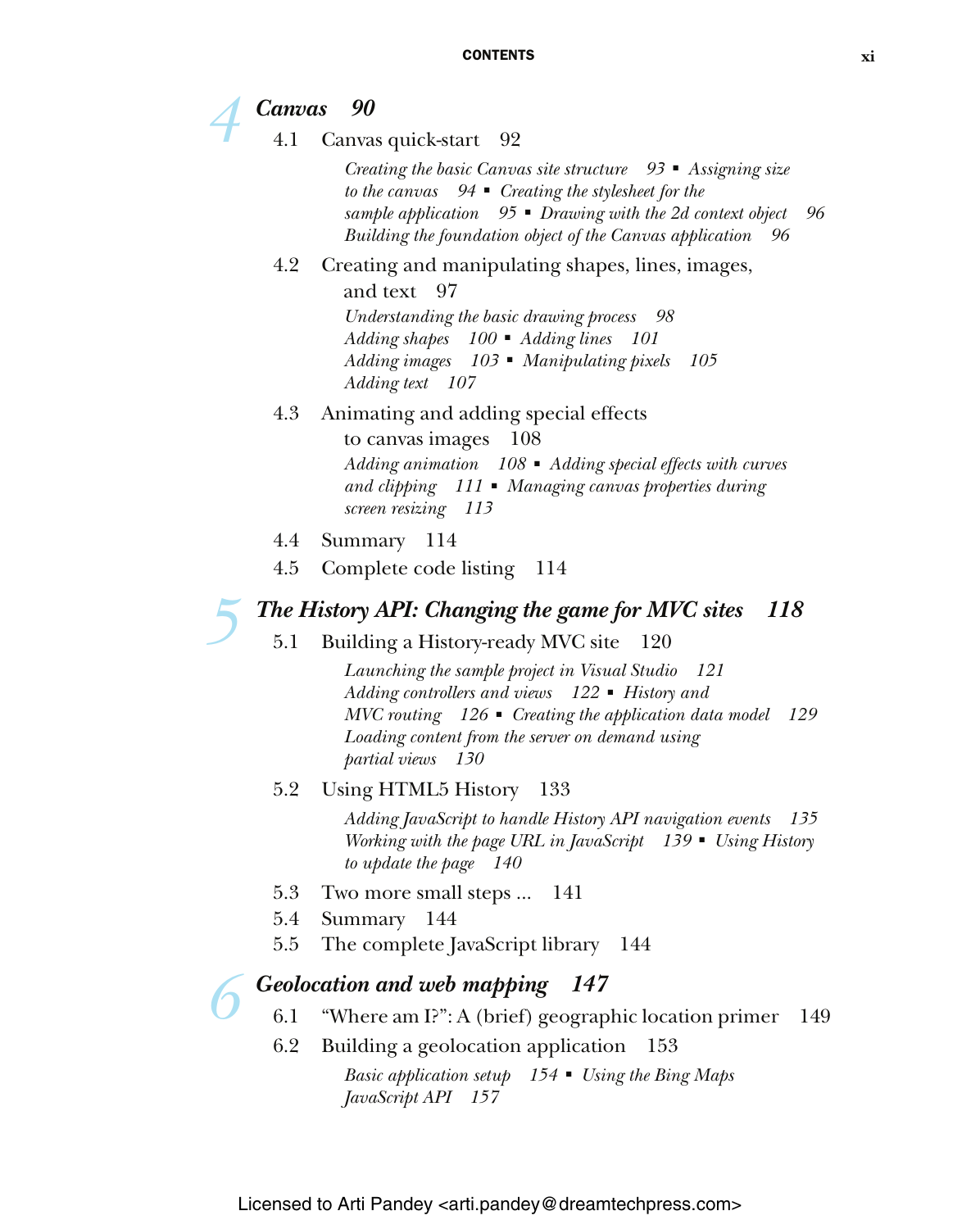## *4 Canvas 90*

Canvas quick-start 92

*Creating the basic Canvas site structure 93* ■ *Assigning size to the canvas 94* ■ *Creating the stylesheet for the sample application 95* ■ *Drawing with the 2d context object 96 Building the foundation object of the Canvas application 96*

## 4.2 Creating and manipulating shapes, lines, images,

and text 97

*Understanding the basic drawing process 98 Adding shapes 100* ■ *Adding lines 101 Adding images 103* ■ *Manipulating pixels 105 Adding text 107*

### 4.3 Animating and adding special effects

to canvas images 108 *Adding animation 108* ■ *Adding special effects with curves and clipping 111* ■ *Managing canvas properties during screen resizing 113*

- 4.4 Summary 114
- 4.5 Complete code listing 114

## *5 The History API: Changing the game for MVC sites 118*

5.1 Building a History-ready MVC site 120

*Launching the sample project in Visual Studio 121 Adding controllers and views 122* ■ *History and MVC routing 126* ■ *Creating the application data model 129 Loading content from the server on demand using partial views 130*

## 5.2 Using HTML5 History 133

*Adding JavaScript to handle History API navigation events 135 Working with the page URL in JavaScript 139* ■ *Using History to update the page 140*

- 5.3 Two more small steps ... 141
- 5.4 Summary 144
- 5.5 The complete JavaScript library 144

# *Geolocation and web mapping 147*<br>6.1 "Where am I?": A (brief) geograp<br>6.2 Building a geolocation application

- "Where am I?": A (brief) geographic location primer 149
- Building a geolocation application 153

*Basic application setup 154* ■ *Using the Bing Maps JavaScript API 157*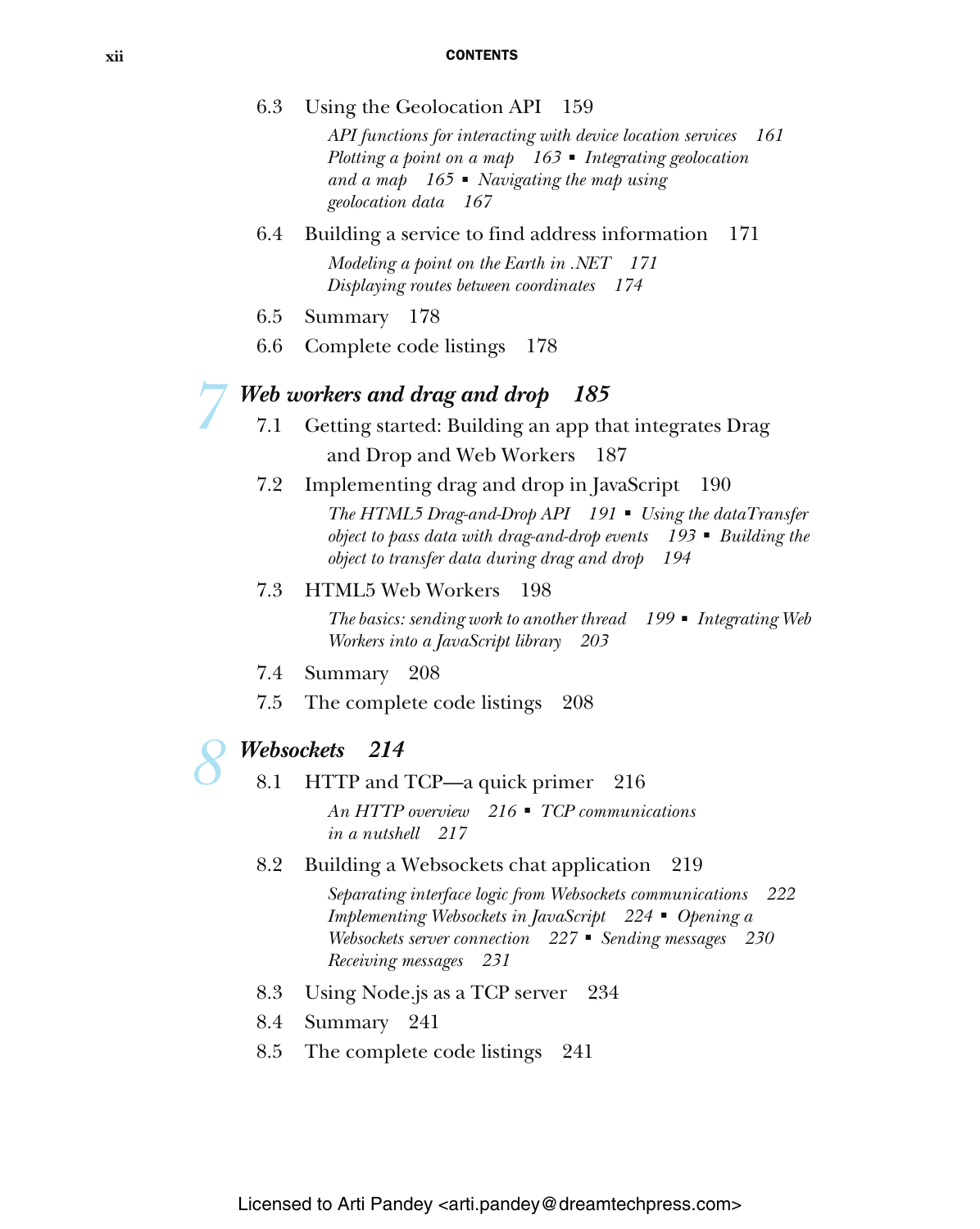#### **xii** CONTENTS

| 6.3 | Using the Geolocation API 159                                                                                                                                                                                       |
|-----|---------------------------------------------------------------------------------------------------------------------------------------------------------------------------------------------------------------------|
|     | API functions for interacting with device location services<br>161<br>Plotting a point on a map $163$ • Integrating geolocation<br>and a map $165$ • Navigating the map using<br>geolocation data 167               |
| 6.4 | Building a service to find address information<br>171                                                                                                                                                               |
|     | Modeling a point on the Earth in .NET 171<br>Displaying routes between coordinates<br>- 174                                                                                                                         |
| 6.5 | Summary 178                                                                                                                                                                                                         |
| 6.6 | Complete code listings<br>178                                                                                                                                                                                       |
|     | Web workers and drag and drop<br>- 185                                                                                                                                                                              |
| 7.1 | Getting started: Building an app that integrates Drag                                                                                                                                                               |
|     | and Drop and Web Workers<br>187                                                                                                                                                                                     |
| 7.2 | Implementing drag and drop in JavaScript<br>- 190                                                                                                                                                                   |
|     | The HTML5 Drag-and-Drop API 191 • Using the dataTransfer<br>object to pass data with drag-and-drop events $193$ $\blacksquare$ Building the<br>object to transfer data during drag and drop<br>194                  |
| 7.3 | <b>HTML5 Web Workers</b><br>198                                                                                                                                                                                     |
|     | The basics: sending work to another thread 199 • Integrating Web<br>Workers into a JavaScript library 203                                                                                                           |
| 7.4 | Summary 208                                                                                                                                                                                                         |
| 7.5 | The complete code listings<br>208                                                                                                                                                                                   |
|     | Websockets<br>214                                                                                                                                                                                                   |
| 8.1 | HTTP and TCP-a quick primer<br>216                                                                                                                                                                                  |
|     | An HTTP overview $216$ • TCP communications<br>in a nutshell 217                                                                                                                                                    |
| 8.2 | Building a Websockets chat application<br>219                                                                                                                                                                       |
|     | Separating interface logic from Websockets communications<br>222<br>Implementing Websockets in JavaScript<br>$224$ • Opening a<br>Websockets server connection 227 • Sending messages 230<br>Receiving messages 231 |
| 8.3 | Using Node.js as a TCP server<br>234                                                                                                                                                                                |
| 8.4 | Summary 241                                                                                                                                                                                                         |
| 8.5 | The complete code listings 241                                                                                                                                                                                      |

Licensed to Arti Pandey <arti.pandey@dreamtechpress.com>